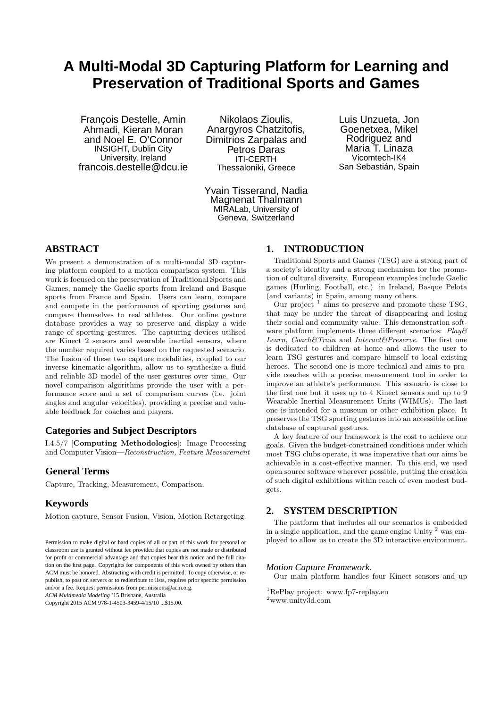# **A Multi-Modal 3D Capturing Platform for Learning and Preservation of Traditional Sports and Games**

François Destelle, Amin Ahmadi, Kieran Moran and Noel E. O'Connor INSIGHT, Dublin City University, Ireland francois.destelle@dcu.ie

Nikolaos Zioulis, Anargyros Chatzitofis, Dimitrios Zarpalas and Petros Daras ITI-CERTH Thessaloniki, Greece

Yvain Tisserand, Nadia Magnenat Thalmann MIRALab, University of Geneva, Switzerland

Luis Unzueta, Jon Goenetxea, Mikel Rodriguez and Maria T. Linaza Vicomtech-IK4 San Sebastián, Spain

## **ABSTRACT**

We present a demonstration of a multi-modal 3D capturing platform coupled to a motion comparison system. This work is focused on the preservation of Traditional Sports and Games, namely the Gaelic sports from Ireland and Basque sports from France and Spain. Users can learn, compare and compete in the performance of sporting gestures and compare themselves to real athletes. Our online gesture database provides a way to preserve and display a wide range of sporting gestures. The capturing devices utilised are Kinect 2 sensors and wearable inertial sensors, where the number required varies based on the requested scenario. The fusion of these two capture modalities, coupled to our inverse kinematic algorithm, allow us to synthesize a fluid and reliable 3D model of the user gestures over time. Our novel comparison algorithms provide the user with a performance score and a set of comparison curves (i.e. joint angles and angular velocities), providing a precise and valuable feedback for coaches and players.

## **Categories and Subject Descriptors**

I.4.5/7 [Computing Methodologies]: Image Processing and Computer Vision—Reconstruction, Feature Measurement

## **General Terms**

Capture, Tracking, Measurement, Comparison.

## **Keywords**

Motion capture, Sensor Fusion, Vision, Motion Retargeting.

*ACM Multimedia Modeling* '15 Brisbane, Australia

Copyright 2015 ACM 978-1-4503-3459-4/15/10 ...\$15.00.

## **1. INTRODUCTION**

Traditional Sports and Games (TSG) are a strong part of a society's identity and a strong mechanism for the promotion of cultural diversity. European examples include Gaelic games (Hurling, Football, etc.) in Ireland, Basque Pelota (and variants) in Spain, among many others.

Our project  $1$  aims to preserve and promote these TSG, that may be under the threat of disappearing and losing their social and community value. This demonstration software platform implements three different scenarios:  $Play \&$ Learn, Coach&Train and Interact&Preserve. The first one is dedicated to children at home and allows the user to learn TSG gestures and compare himself to local existing heroes. The second one is more technical and aims to provide coaches with a precise measurement tool in order to improve an athlete's performance. This scenario is close to the first one but it uses up to 4 Kinect sensors and up to 9 Wearable Inertial Measurement Units (WIMUs). The last one is intended for a museum or other exhibition place. It preserves the TSG sporting gestures into an accessible online database of captured gestures.

A key feature of our framework is the cost to achieve our goals. Given the budget-constrained conditions under which most TSG clubs operate, it was imperative that our aims be achievable in a cost-effective manner. To this end, we used open source software wherever possible, putting the creation of such digital exhibitions within reach of even modest budgets.

## **2. SYSTEM DESCRIPTION**

The platform that includes all our scenarios is embedded in a single application, and the game engine Unity  $2$  was employed to allow us to create the 3D interactive environment.

#### *Motion Capture Framework.*

Our main platform handles four Kinect sensors and up

Permission to make digital or hard copies of all or part of this work for personal or classroom use is granted without fee provided that copies are not made or distributed for profit or commercial advantage and that copies bear this notice and the full citation on the first page. Copyrights for components of this work owned by others than ACM must be honored. Abstracting with credit is permitted. To copy otherwise, or republish, to post on servers or to redistribute to lists, requires prior specific permission and/or a fee. Request permissions from permissions@acm.org.

<sup>1</sup>RePlay project: www.fp7-replay.eu

 $^2$ www.unity3d.com